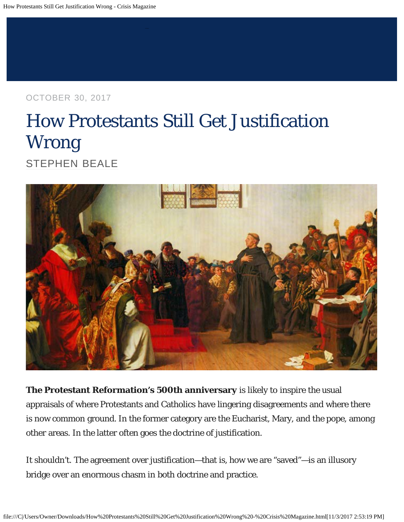OCTOBER 30, 2017

# How Protestants Still Get Justification Wrong [STEPHEN BEALE](http://www.crisismagazine.com/author/stephen-beale)



**The Protestant Reformation's 500th anniversary** is likely to inspire the usual appraisals of where Protestants and Catholics have lingering disagreements and where there is now common ground. In the former category are the Eucharist, Mary, and the pope, among other areas. In the latter often goes the doctrine of justification.

It shouldn't. The agreement over justification—that is, how we are "saved"—is an illusory bridge over an enormous chasm in both doctrine and practice.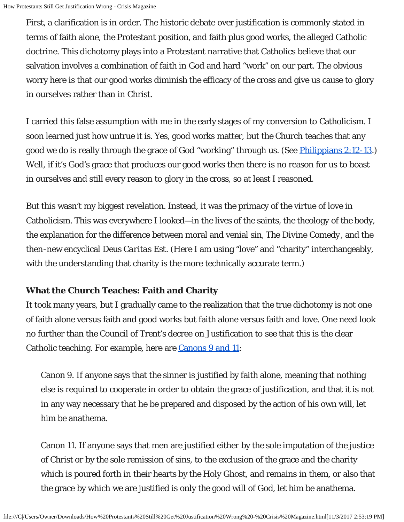First, a clarification is in order. The historic debate over justification is commonly stated in terms of faith alone, the Protestant position, and faith plus good works, the alleged Catholic doctrine. This dichotomy plays into a Protestant narrative that Catholics believe that our salvation involves a combination of faith in God and hard "work" on our part. The obvious worry here is that our good works diminish the efficacy of the cross and give us cause to glory in ourselves rather than in Christ.

I carried this false assumption with me in the early stages of my conversion to Catholicism. I soon learned just how untrue it is. Yes, good works matter, but the Church teaches that any good we do is really through the grace of God "working" through us. (See *Philippians 2:12-13.*) Well, if it's God's grace that produces our good works then there is no reason for us to boast in ourselves and still every reason to glory in the cross, so at least I reasoned.

But this wasn't my biggest revelation. Instead, it was the primacy of the virtue of love in Catholicism. This was everywhere I looked—in the lives of the saints, the theology of the body, the explanation for the difference between moral and venial sin, *The Divine Comedy*, and the then-new encyclical *Deus Caritas Est*. (Here I am using "love" and "charity" interchangeably, with the understanding that charity is the more technically accurate term.)

#### **What the Church Teaches: Faith and Charity**

It took many years, but I gradually came to the realization that the true dichotomy is not one of faith alone versus faith and good works but faith alone versus faith and love. One need look no further than the Council of Trent's decree on Justification to see that this is the clear Catholic teaching. For example, here are [Canons 9 and 11](https://www.ewtn.com/library/COUNCILS/TRENT6.HTM):

Canon 9. If anyone says that the sinner is justified by faith alone, meaning that nothing else is required to cooperate in order to obtain the grace of justification, and that it is not in any way necessary that he be prepared and disposed by the action of his own will, let him be anathema.

Canon 11. If anyone says that men are justified either by the sole imputation of the justice of Christ or by the sole remission of sins, to the exclusion of the grace and the charity which is poured forth in their hearts by the Holy Ghost, and remains in them, or also that the grace by which we are justified is only the good will of God, let him be anathema.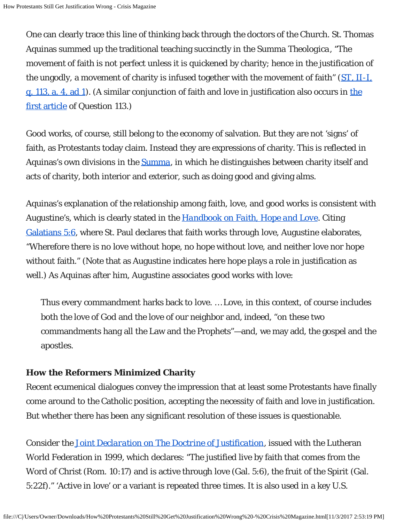One can clearly trace this line of thinking back through the doctors of the Church. St. Thomas Aquinas summed up the traditional teaching succinctly in the *Summa Theologica*, "The movement of faith is not perfect unless it is quickened by charity; hence in the justification of the ungodly, a movement of charity is infused together with the movement of faith" (*[ST](http://www.newadvent.org/summa/2113.htm#article4)*[, II-I,](http://www.newadvent.org/summa/2113.htm#article4) [q. 113, a. 4, ad 1](http://www.newadvent.org/summa/2113.htm#article4)). (A similar conjunction of faith and love in justification also occurs in [the](http://www.newadvent.org/summa/2113.htm#article1) [first article](http://www.newadvent.org/summa/2113.htm#article1) of Question 113.)

Good works, of course, still belong to the economy of salvation. But they are not 'signs' of faith, as Protestants today claim. Instead they are expressions of charity. This is reflected in Aquinas's own divisions in the *[Summa](http://www.newadvent.org/summa/3.htm)*, in which he distinguishes between charity itself and acts of charity, both interior and exterior, such as doing good and giving alms.

Aquinas's explanation of the relationship among faith, love, and good works is consistent with Augustine's, which is clearly stated in the *[Handbook on Faith, Hope and Love](http://www.newadvent.org/fathers/1302.htm)*. Citing [Galatians 5:6](http://www.usccb.org/bible/galatians/5:6), where St. Paul declares that faith works through love, Augustine elaborates, "Wherefore there is no love without hope, no hope without love, and neither love nor hope without faith." (Note that as Augustine indicates here hope plays a role in justification as well.) As Aquinas after him, Augustine associates good works with love:

Thus every commandment harks back to love. … Love, in this context, of course includes both the love of God and the love of our neighbor and, indeed, "on these two commandments hang all the Law and the Prophets"—and, we may add, the gospel and the apostles.

#### **How the Reformers Minimized Charity**

Recent ecumenical dialogues convey the impression that at least some Protestants have finally come around to the Catholic position, accepting the necessity of faith and love in justification. But whether there has been any significant resolution of these issues is questionable.

Consider the *[Joint Declaration on The Doctrine of Justification](http://www.vatican.va/roman_curia/pontifical_councils/chrstuni/documents/rc_pc_chrstuni_doc_31101999_cath-luth-joint-declaration_en.html)*, issued with the Lutheran World Federation in 1999, which declares: "The justified live by faith that comes from the Word of Christ (Rom. 10:17) and is active through love (Gal. 5:6), the fruit of the Spirit (Gal. 5:22f)." 'Active in love' or a variant is repeated three times. It is also used in a key U.S.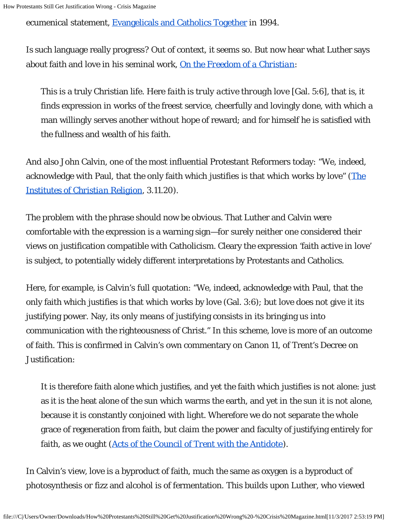ecumenical statement, [Evangelicals and Catholics Together](https://www.firstthings.com/article/1994/05/evangelicals-catholics-together-the-christian-mission-in-the-third-millennium) in 1994.

Is such language really progress? Out of context, it seems so. But now hear what Luther says about faith and love in his seminal work, *[On the Freedom of a Christian](http://www.spucc.org/sites/default/files/Luther%20Freedom.pdf)*:

This is a truly Christian life. Here *faith is truly active through love* [Gal. 5:6], that is, it finds expression in works of the freest service, cheerfully and lovingly done, with which a man willingly serves another without hope of reward; and for himself he is satisfied with the fullness and wealth of his faith.

And also John Calvin, one of the most influential Protestant Reformers today: "We, indeed, acknowledge with Paul, that the only faith which justifies is that which works by love" (*[The](http://www.ccel.org/ccel/calvin/institutes.pdf) [Institutes of Christian Religion](http://www.ccel.org/ccel/calvin/institutes.pdf),* 3.11.20).

The problem with the phrase should now be obvious. That Luther and Calvin were comfortable with the expression is a warning sign—for surely neither one considered their views on justification compatible with Catholicism. Cleary the expression 'faith active in love' is subject, to potentially widely different interpretations by Protestants and Catholics.

Here, for example, is Calvin's full quotation: "We, indeed, acknowledge with Paul, that the only faith which justifies is that which works by love (Gal. 3:6); but love does not give it its justifying power. Nay, its only means of justifying consists in its bringing us into communication with the righteousness of Christ." In this scheme, love is more of an outcome of faith. This is confirmed in Calvin's own commentary on Canon 11, of Trent's Decree on Justification:

It is therefore faith alone which justifies, and yet the faith which justifies is not alone: just as it is the heat alone of the sun which warms the earth, and yet in the sun it is not alone, because it is constantly conjoined with light. Wherefore we do not separate the whole grace of regeneration from faith, but claim the power and faculty of justifying entirely for faith, as we ought (*[Acts of the Council of Trent with the Antidote](https://www.monergism.com/thethreshold/sdg/calvin_trentantidote.html)*).

In Calvin's view, love is a byproduct of faith, much the same as oxygen is a byproduct of photosynthesis or fizz and alcohol is of fermentation. This builds upon Luther, who viewed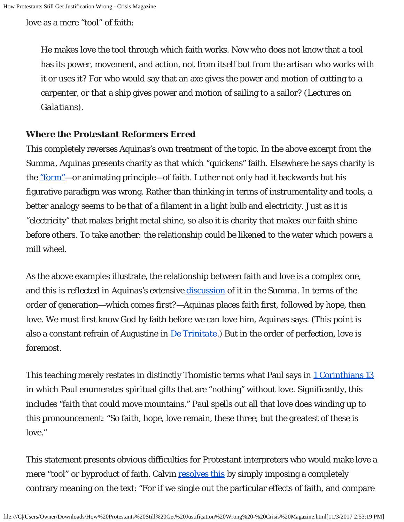love as a mere "tool" of faith:

He makes love the tool through which faith works. Now who does not know that a tool has its power, movement, and action, not from itself but from the artisan who works with it or uses it? For who would say that an axe gives the power and motion of cutting to a carpenter, or that a ship gives power and motion of sailing to a sailor? (*Lectures on Galatians*).

#### **Where the Protestant Reformers Erred**

This completely reverses Aquinas's own treatment of the topic. In the above excerpt from the *Summa*, Aquinas presents charity as that which "quickens" faith. Elsewhere he says charity is the ["form"](http://www.newadvent.org/summa/2062.htm#article4)—or animating principle—of faith. Luther not only had it backwards but his figurative paradigm was wrong. Rather than thinking in terms of instrumentality and tools, a better analogy seems to be that of a filament in a light bulb and electricity. Just as it is "electricity" that makes bright metal shine, so also it is charity that makes our faith shine before others. To take another: the relationship could be likened to the water which powers a mill wheel.

As the above examples illustrate, the relationship between faith and love is a complex one, and this is reflected in Aquinas's extensive [discussion](http://www.newadvent.org/summa/2062.htm#article4) of it in the *Summa*. In terms of the order of generation—*which comes first?*—Aquinas places faith first, followed by hope, then love. We must first know God by faith before we can love him, Aquinas says. (This point is also a constant refrain of Augustine in *[De Trinitate](http://www.newadvent.org/fathers/1301.htm)*.) But in the order of perfection, love is foremost.

This teaching merely restates in distinctly Thomistic terms what Paul says in [1 Corinthians 13](http://www.usccb.org/bible/1corinthians/13) in which Paul enumerates spiritual gifts that are "nothing" without love. Significantly, this includes "faith that could move mountains." Paul spells out all that love does winding up to this pronouncement: "So faith, hope, love remain, these three; but the greatest of these is love."

This statement presents obvious difficulties for Protestant interpreters who would make love a mere "tool" or byproduct of faith. Calvin [resolves this](https://www.studylight.org/commentaries/cal/1-corinthians-13.html) by simply imposing a completely contrary meaning on the text: "For if we single out the particular effects of faith, and compare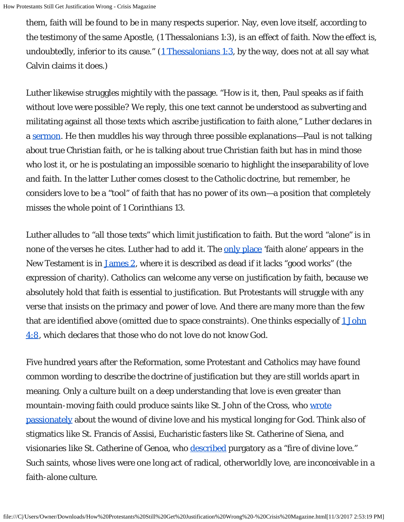them, faith will be found to be in many respects superior. Nay, even love itself, according to the testimony of the same Apostle, (1 Thessalonians 1:3), is an effect of faith. Now the effect is, undoubtedly, inferior to its cause."  $(1$  Thessalonians 1:3, by the way, does not at all say what Calvin claims it does.)

Luther likewise struggles mightily with the passage. "How is it, then, Paul speaks as if faith without love were possible? We reply, this one text cannot be understood as subverting and militating against all those texts which ascribe justification to faith alone," Luther declares in a [sermon.](http://www.truecovenanter.com/truelutheran/luther_love.html) He then muddles his way through three possible explanations—Paul is not talking about true Christian faith, or he is talking about true Christian faith but has in mind those who lost it, or he is postulating an impossible scenario to highlight the inseparability of love and faith. In the latter Luther comes closest to the Catholic doctrine, but remember, he considers love to be a "tool" of faith that has no power of its own—a position that completely misses the whole point of 1 Corinthians 13.

Luther alludes to "all those texts" which limit justification to faith. But the word "alone" is in none of the verses he cites. Luther had to add it. The [only place](https://www.catholic.com/magazine/print-edition/arent-we-saved-by-faith-alone) 'faith alone' appears in the New Testament is in [James 2,](http://www.usccb.org/bible/james/2) where it is described as dead if it lacks "good works" (the expression of charity). Catholics can welcome any verse on justification by faith, because we absolutely hold that faith is essential to justification. But Protestants will struggle with any verse that insists on the primacy and power of love. And there are many more than the few that are identified above (omitted due to space constraints). One thinks especially of [1 John](http://www.usccb.org/bible/1john/4:8) [4:8,](http://www.usccb.org/bible/1john/4:8) which declares that those who do not love do not know God.

Five hundred years after the Reformation, some Protestant and Catholics may have found common wording to describe the doctrine of justification but they are still worlds apart in meaning. Only a culture built on a deep understanding that love is even greater than mountain-moving faith could produce saints like St. John of the Cross, who [wrote](http://web.tvnetwork.hu/vidaa/books/ksztj/cross.html) [passionately](http://web.tvnetwork.hu/vidaa/books/ksztj/cross.html) about the wound of divine love and his mystical longing for God. Think also of stigmatics like St. Francis of Assisi, Eucharistic fasters like St. Catherine of Siena, and visionaries like St. Catherine of Genoa, who [described](http://www.ewtn.com/library/spirit/catpur.txt) purgatory as a "fire of divine love." Such saints, whose lives were one long act of radical, otherworldly love, are inconceivable in a faith-alone culture.